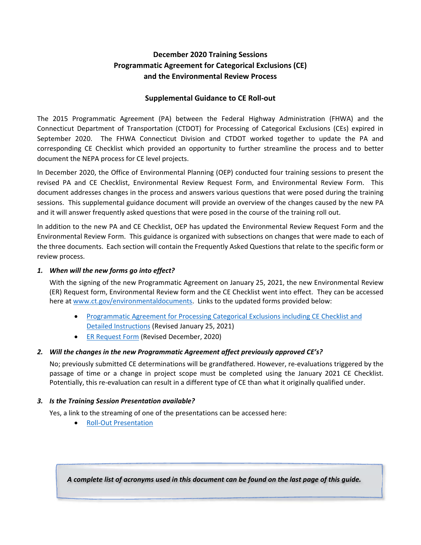# **December 2020 Training Sessions Programmatic Agreement for Categorical Exclusions (CE) and the Environmental Review Process**

## **Supplemental Guidance to CE Roll‐out**

The 2015 Programmatic Agreement (PA) between the Federal Highway Administration (FHWA) and the Connecticut Department of Transportation (CTDOT) for Processing of Categorical Exclusions (CEs) expired in September 2020. The FHWA Connecticut Division and CTDOT worked together to update the PA and corresponding CE Checklist which provided an opportunity to further streamline the process and to better document the NEPA process for CE level projects.

In December 2020, the Office of Environmental Planning (OEP) conducted four training sessions to present the revised PA and CE Checklist, Environmental Review Request Form, and Environmental Review Form. This document addresses changes in the process and answers various questions that were posed during the training sessions. This supplemental guidance document will provide an overview of the changes caused by the new PA and it will answer frequently asked questions that were posed in the course of the training roll out.

In addition to the new PA and CE Checklist, OEP has updated the Environmental Review Request Form and the Environmental Review Form. This guidance is organized with subsections on changes that were made to each of the three documents. Each section will contain the Frequently Asked Questions that relate to the specific form or review process.

### *1. When will the new forms go into effect?*

With the signing of the new Programmatic Agreement on January 25, 2021, the new Environmental Review (ER) Request form, Environmental Review form and the CE Checklist went into effect. They can be accessed here at www.ct.gov/environmentaldocuments. Links to the updated forms provided below:

- [Programmatic Agreement for Processing Categorical Exclusions including CE Checklist and](https://portal.ct.gov/-/media/DOT/documents/denviro/2021-FHWA-CTDOT-Cat-EX-PA-Checklist-and-Instructions.pdf)  Detailed Instructions (Revised January 25, 2021)
- **[ER Request Form \(](https://portal.ct.gov/-/media/DOT/documents/denviro/Environmental-Review-Request-Template-Dec-2020-Savable.pdf)Revised December, 2020)**

## *2. Will the changes in the new Programmatic Agreement affect previously approved CE's?*

No; previously submitted CE determinations will be grandfathered. However, re-evaluations triggered by the passage of time or a change in project scope must be completed using the January 2021 CE Checklist. Potentially, this re‐evaluation can result in a different type of CE than what it originally qualified under.

## *3. Is the Training Session Presentation available?*

Yes, a link to the streaming of one of the presentations can be accessed here:

● Roll-Out Presentation

*A complete list of acronyms used in this document can be found on the last page of this guide.*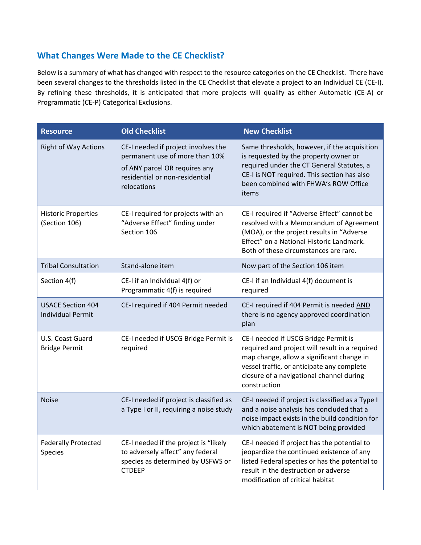# **What Changes Were Made to the CE Checklist?**

Below is a summary of what has changed with respect to the resource categories on the CE Checklist. There have been several changes to the thresholds listed in the CE Checklist that elevate a project to an Individual CE (CE‐I). By refining these thresholds, it is anticipated that more projects will qualify as either Automatic (CE‐A) or Programmatic (CE‐P) Categorical Exclusions.

| <b>Resource</b>                                      | <b>Old Checklist</b>                                                                                                                                    | <b>New Checklist</b>                                                                                                                                                                                                                          |
|------------------------------------------------------|---------------------------------------------------------------------------------------------------------------------------------------------------------|-----------------------------------------------------------------------------------------------------------------------------------------------------------------------------------------------------------------------------------------------|
| <b>Right of Way Actions</b>                          | CE-I needed if project involves the<br>permanent use of more than 10%<br>of ANY parcel OR requires any<br>residential or non-residential<br>relocations | Same thresholds, however, if the acquisition<br>is requested by the property owner or<br>required under the CT General Statutes, a<br>CE-I is NOT required. This section has also<br>been combined with FHWA's ROW Office<br>items            |
| <b>Historic Properties</b><br>(Section 106)          | CE-I required for projects with an<br>"Adverse Effect" finding under<br>Section 106                                                                     | CE-I required if "Adverse Effect" cannot be<br>resolved with a Memorandum of Agreement<br>(MOA), or the project results in "Adverse<br>Effect" on a National Historic Landmark.<br>Both of these circumstances are rare.                      |
| <b>Tribal Consultation</b>                           | Stand-alone item                                                                                                                                        | Now part of the Section 106 item                                                                                                                                                                                                              |
| Section 4(f)                                         | CE-I if an Individual 4(f) or<br>Programmatic 4(f) is required                                                                                          | CE-I if an Individual 4(f) document is<br>required                                                                                                                                                                                            |
| <b>USACE Section 404</b><br><b>Individual Permit</b> | CE-I required if 404 Permit needed                                                                                                                      | CE-I required if 404 Permit is needed AND<br>there is no agency approved coordination<br>plan                                                                                                                                                 |
| U.S. Coast Guard<br><b>Bridge Permit</b>             | CE-I needed if USCG Bridge Permit is<br>required                                                                                                        | CE-I needed if USCG Bridge Permit is<br>required and project will result in a required<br>map change, allow a significant change in<br>vessel traffic, or anticipate any complete<br>closure of a navigational channel during<br>construction |
| <b>Noise</b>                                         | CE-I needed if project is classified as<br>a Type I or II, requiring a noise study                                                                      | CE-I needed if project is classified as a Type I<br>and a noise analysis has concluded that a<br>noise impact exists in the build condition for<br>which abatement is NOT being provided                                                      |
| <b>Federally Protected</b><br>Species                | CE-I needed if the project is "likely<br>to adversely affect" any federal<br>species as determined by USFWS or<br><b>CTDEEP</b>                         | CE-I needed if project has the potential to<br>jeopardize the continued existence of any<br>listed Federal species or has the potential to<br>result in the destruction or adverse<br>modification of critical habitat                        |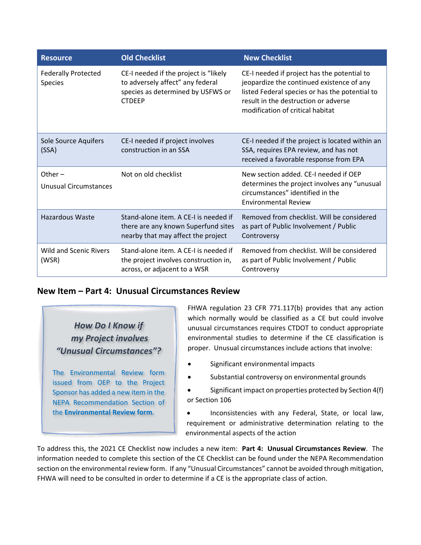| <b>Resource</b>                        | <b>Old Checklist</b>                                                                                                            | <b>New Checklist</b>                                                                                                                                                                                                   |
|----------------------------------------|---------------------------------------------------------------------------------------------------------------------------------|------------------------------------------------------------------------------------------------------------------------------------------------------------------------------------------------------------------------|
| <b>Federally Protected</b><br>Species  | CE-I needed if the project is "likely<br>to adversely affect" any federal<br>species as determined by USFWS or<br><b>CTDEEP</b> | CE-I needed if project has the potential to<br>jeopardize the continued existence of any<br>listed Federal species or has the potential to<br>result in the destruction or adverse<br>modification of critical habitat |
| Sole Source Aquifers<br>(SSA)          | CE-I needed if project involves<br>construction in an SSA                                                                       | CE-I needed if the project is located within an<br>SSA, requires EPA review, and has not<br>received a favorable response from EPA                                                                                     |
| Other $-$<br>Unusual Circumstances     | Not on old checklist                                                                                                            | New section added. CE-I needed if OEP<br>determines the project involves any "unusual<br>circumstances" identified in the<br><b>Environmental Review</b>                                                               |
| <b>Hazardous Waste</b>                 | Stand-alone item. A CE-Lis needed if<br>there are any known Superfund sites<br>nearby that may affect the project               | Removed from checklist. Will be considered<br>as part of Public Involvement / Public<br>Controversy                                                                                                                    |
| <b>Wild and Scenic Rivers</b><br>(WSR) | Stand-alone item. A CE-I is needed if<br>the project involves construction in,<br>across, or adjacent to a WSR                  | Removed from checklist. Will be considered<br>as part of Public Involvement / Public<br>Controversy                                                                                                                    |

## **New Item – Part 4: Unusual Circumstances Review**

*How Do I Know if my Project involves "Unusual Circumstances"?* 

The Environmental Review form issued from OEP to the Project Sponsor has added a new item in the NEPA Recommendation Section of the **Environmental Review form**.

FHWA regulation 23 CFR 771.117(b) provides that any action which normally would be classified as a CE but could involve unusual circumstances requires CTDOT to conduct appropriate environmental studies to determine if the CE classification is proper. Unusual circumstances include actions that involve:

- Significant environmental impacts
- Substantial controversy on environmental grounds
- Significant impact on properties protected by Section 4(f) or Section 106
- Inconsistencies with any Federal, State, or local law, requirement or administrative determination relating to the environmental aspects of the action

To address this, the 2021 CE Checklist now includes a new item: **Part 4: Unusual Circumstances Review**. The information needed to complete this section of the CE Checklist can be found under the NEPA Recommendation section on the environmental review form. If any "Unusual Circumstances" cannot be avoided through mitigation, FHWA will need to be consulted in order to determine if a CE is the appropriate class of action.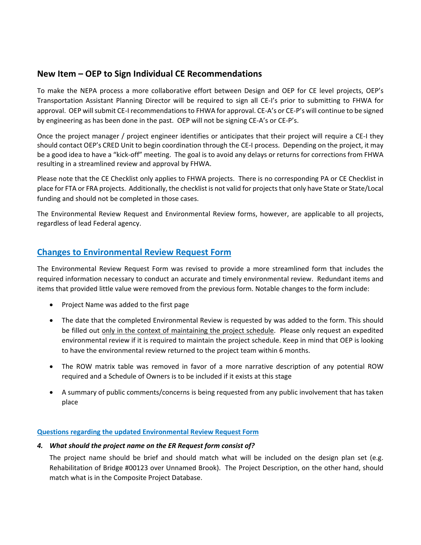# **New Item – OEP to Sign Individual CE Recommendations**

To make the NEPA process a more collaborative effort between Design and OEP for CE level projects, OEP's Transportation Assistant Planning Director will be required to sign all CE‐I's prior to submitting to FHWA for approval. OEP will submit CE‐I recommendations to FHWA for approval. CE‐A's or CE‐P's will continue to be signed by engineering as has been done in the past. OEP will not be signing CE-A's or CE-P's.

Once the project manager / project engineer identifies or anticipates that their project will require a CE‐I they should contact OEP's CRED Unit to begin coordination through the CE‐I process. Depending on the project, it may be a good idea to have a "kick-off" meeting. The goal is to avoid any delays or returns for corrections from FHWA resulting in a streamlined review and approval by FHWA.

Please note that the CE Checklist only applies to FHWA projects. There is no corresponding PA or CE Checklist in place for FTA or FRA projects. Additionally, the checklist is not valid for projects that only have State or State/Local funding and should not be completed in those cases.

The Environmental Review Request and Environmental Review forms, however, are applicable to all projects, regardless of lead Federal agency.

# **Changes to Environmental Review Request Form**

The Environmental Review Request Form was revised to provide a more streamlined form that includes the required information necessary to conduct an accurate and timely environmental review. Redundant items and items that provided little value were removed from the previous form. Notable changes to the form include:

- Project Name was added to the first page
- The date that the completed Environmental Review is requested by was added to the form. This should be filled out only in the context of maintaining the project schedule. Please only request an expedited environmental review if it is required to maintain the project schedule. Keep in mind that OEP is looking to have the environmental review returned to the project team within 6 months.
- The ROW matrix table was removed in favor of a more narrative description of any potential ROW required and a Schedule of Owners is to be included if it exists at this stage
- A summary of public comments/concerns is being requested from any public involvement that has taken place

#### **Questions regarding the updated Environmental Review Request Form**

#### *4. What should the project name on the ER Request form consist of?*

The project name should be brief and should match what will be included on the design plan set (e.g. Rehabilitation of Bridge #00123 over Unnamed Brook). The Project Description, on the other hand, should match what is in the Composite Project Database.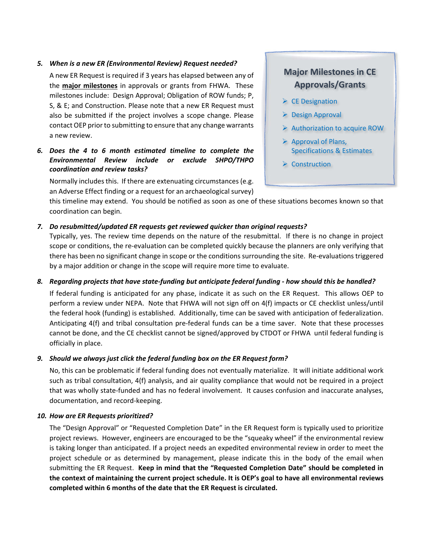#### *5. When is a new ER (Environmental Review) Request needed?*

A new ER Request is required if 3 years has elapsed between any of the **major milestones** in approvals or grants from FHWA. These milestones include: Design Approval; Obligation of ROW funds; P, S, & E; and Construction. Please note that a new ER Request must also be submitted if the project involves a scope change. Please contact OEP prior to submitting to ensure that any change warrants a new review.

### *6. Does the 4 to 6 month estimated timeline to complete the Environmental Review include or exclude SHPO/THPO coordination and review tasks?*

Normally includes this. If there are extenuating circumstances (e.g. an Adverse Effect finding or a request for an archaeological survey)

# **Major Milestones in CE Approvals/Grants**

- $\triangleright$  CE Designation
- $\triangleright$  Design Approval
- $\triangleright$  Authorization to acquire ROW
- $\triangleright$  Approval of Plans, Specifications & Estimates
- **▶ Construction**

this timeline may extend. You should be notified as soon as one of these situations becomes known so that coordination can begin.

#### *7. Do resubmitted/updated ER requests get reviewed quicker than original requests?*

Typically, yes. The review time depends on the nature of the resubmittal. If there is no change in project scope or conditions, the re-evaluation can be completed quickly because the planners are only verifying that there has been no significant change in scope or the conditions surrounding the site. Re‐evaluations triggered by a major addition or change in the scope will require more time to evaluate.

#### *8. Regarding projects that have state‐funding but anticipate federal funding ‐ how should this be handled?*

If federal funding is anticipated for any phase, indicate it as such on the ER Request. This allows OEP to perform a review under NEPA. Note that FHWA will not sign off on 4(f) impacts or CE checklist unless/until the federal hook (funding) is established.Additionally, time can be saved with anticipation of federalization. Anticipating 4(f) and tribal consultation pre‐federal funds can be a time saver. Note that these processes cannot be done, and the CE checklist cannot be signed/approved by CTDOT or FHWA until federal funding is officially in place.

#### *9. Should we always just click the federal funding box on the ER Request form?*

No, this can be problematic if federal funding does not eventually materialize. It will initiate additional work such as tribal consultation, 4(f) analysis, and air quality compliance that would not be required in a project that was wholly state‐funded and has no federal involvement. It causes confusion and inaccurate analyses, documentation, and record‐keeping.

#### *10. How are ER Requests prioritized?*

The "Design Approval" or "Requested Completion Date" in the ER Request form is typically used to prioritize project reviews. However, engineers are encouraged to be the "squeaky wheel" if the environmental review is taking longer than anticipated. If a project needs an expedited environmental review in order to meet the project schedule or as determined by management, please indicate this in the body of the email when submitting the ER Request. **Keep in mind that the "Requested Completion Date" should be completed in the context of maintaining the current project schedule. It is OEP's goal to have all environmental reviews completed within 6 months of the date that the ER Request is circulated.**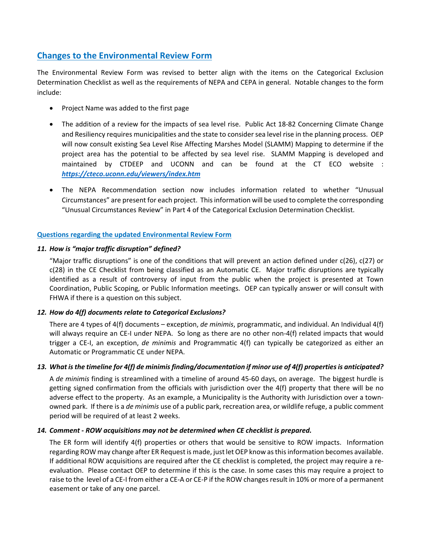# **Changes to the Environmental Review Form**

The Environmental Review Form was revised to better align with the items on the Categorical Exclusion Determination Checklist as well as the requirements of NEPA and CEPA in general. Notable changes to the form include:

- Project Name was added to the first page
- The addition of a review for the impacts of sea level rise. Public Act 18-82 Concerning Climate Change and Resiliency requires municipalities and the state to consider sea level rise in the planning process. OEP will now consult existing Sea Level Rise Affecting Marshes Model (SLAMM) Mapping to determine if the project area has the potential to be affected by sea level rise. SLAMM Mapping is developed and maintained by CTDEEP and UCONN and can be found at the CT ECO website : *https://cteco.uconn.edu/viewers/index.htm*
- The NEPA Recommendation section now includes information related to whether "Unusual Circumstances" are present for each project. This information will be used to complete the corresponding "Unusual Circumstances Review" in Part 4 of the Categorical Exclusion Determination Checklist.

### **Questions regarding the updated Environmental Review Form**

#### *11. How is "major traffic disruption" defined?*

"Major traffic disruptions" is one of the conditions that will prevent an action defined under c(26), c(27) or c(28) in the CE Checklist from being classified as an Automatic CE. Major traffic disruptions are typically identified as a result of controversy of input from the public when the project is presented at Town Coordination, Public Scoping, or Public Information meetings. OEP can typically answer or will consult with FHWA if there is a question on this subject.

#### *12. How do 4(f) documents relate to Categorical Exclusions?*

There are 4 types of 4(f) documents – exception, *de minimis*, programmatic, and individual. An Individual 4(f) will always require an CE-I under NEPA. So long as there are no other non-4(f) related impacts that would trigger a CE‐I, an exception, *de minimis* and Programmatic 4(f) can typically be categorized as either an Automatic or Programmatic CE under NEPA.

#### *13. What is the timeline for 4(f) de minimis finding/documentation if minor use of 4(f) properties is anticipated?*

A *de minimis* finding is streamlined with a timeline of around 45‐60 days, on average. The biggest hurdle is getting signed confirmation from the officials with jurisdiction over the 4(f) property that there will be no adverse effect to the property. As an example, a Municipality is the Authority with Jurisdiction over a town‐ owned park. If there is a *de minimis* use of a public park, recreation area, or wildlife refuge, a public comment period will be required of at least 2 weeks.

#### *14. Comment ‐ ROW acquisitions may not be determined when CE checklist is prepared.*

The ER form will identify 4(f) properties or others that would be sensitive to ROW impacts. Information regarding ROW may change after ER Request is made, just let OEP know as this information becomes available. If additional ROW acquisitions are required after the CE checklist is completed, the project may require a re‐ evaluation. Please contact OEP to determine if this is the case. In some cases this may require a project to raise to the level of a CE‐I from either a CE‐A or CE‐P if the ROW changes result in 10% or more of a permanent easement or take of any one parcel.